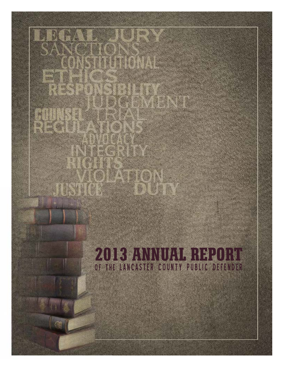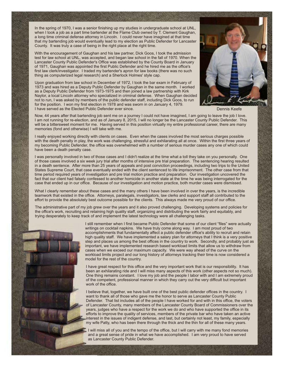In the spring of 1970, I was a senior finishing up my studies in undergraduate school at UNL, when I took a job as a part time bartender at the Flame Club owned by T. Clement Gaughan, a long time criminal defense attorney in Lincoln. I could never have imagined at that time that my bartending job would eventually lead to my election as Public Defender for Lancaster County. It was truly a case of being in the right place at the right time.

With the encouragement of Gaughan and his law partner, Dick Goos, I took the admission test for law school at UNL, was accepted, and began law school in the fall of 1970. When the Lancaster County Public Defender's Office was established by the County Board in January of 1971, Gaughan was appointed the first Public Defender and he hired me as the office's first law clerk/investigator. I traded my bartender's apron for law books (there was no such thing as computerized legal research) and a Sherlock Holmes' style cap.

Upon graduation from law school in December of 1972, I took the bar exam in February of 1973 and was hired as a Deputy Public Defender by Gaughan in the same month. I worked as a Deputy Public Defender from 1973-1975 and then joined a law partnership with Kirk Naylor, a local Lincoln attorney who specialized in criminal defense. When Gaughan decided not to run, I was asked by members of the public defender staff, including Dick Goos, to run for the position. I won my first election in 1978 and was sworn in on January 4, 1979. I have served as the Elected Public Defender ever since.



Dennis Keefe

Now, 44 years after that bartending job sent me on a journey I could not have imagined, I am going to leave the job I love. I am not running for re-election, and as of January 8, 2015, I will no longer be the Lancaster County Public Defender. This will be a bittersweet moment for me. Having served in this position virtually my entire professional career, there are many memories (fond and otherwise) I will take with me.

I really enjoyed working directly with clients on cases. Even when the cases involved the most serious charges possible with the death penalty in play, the work was challenging, stressful and exhilarating all at once. Within the first three years of my becoming Public Defender, the office was overwhelmed with a number of serious murder cases any one of which could have been a death penalty case.

I was personally involved in two of those cases and I didn't realize at the time what a toll they take on you personally. One of those cases involved a six week jury trial after months of intensive pre trial preparation. The sentencing hearing resulted in a death sentence. After more than 25 years of appeals and post conviction proceedings, including two trips to the United States Supreme Court, that case eventually ended with the client sentenced to life imprisonment. The other case from that time period required years of investigation and pre trial motion practice and preparation. Our investigation uncovered the fact that our client had falsely confessed to another homicide in another state at the time he was being interrogated for the case that ended up in our office. Because of our investigation and motion practice, both murder cases were dismissed.

What I clearly remember about these cases and the many others I have been involved in over the years, is the incredible teamwork that existed in the office. Attorneys, paralegals, investigators, law clerks and support staff all contributed to the effort to provide the absolutely best outcome possible for the clients. This always made me very proud of our office.

The administrative part of my job grew over the years and it also proved challenging. Developing systems and policies for the office's work, recruiting and retaining high quality staff, organizing and distributing the work fairly and equitably, and trying desperately to keep track of and implement the latest technology were all challenging tasks.



I still remember when I first became Public Defender that some of our client "files" were actually writings on cocktail napkins. We have truly come along way. I am most proud of two accomplishments that fundamentally affect a public defender office's ability to recruit and retain high quality staff. We have implemented a salary plan for attorneys that I think is a very positive step and places us among the best offices in the country to work. Secondly, and probably just as important, we have implemented research based workload limits that allow us to withdraw from cases when we exceed our maximum capacity. We were way ahead of the curve on the workload limits project and our long history of attorneys tracking their time is now considered a model for the rest of the country.

I have great respect for this office and the very important work that is our responsibility. It has been an exhilarating ride and I will miss many aspects of this work (other aspects not so much). One thing remains constant. I love my job and the people I labor with and I am extremely proud of the competent, professional manner in which they carry out the very difficult but important work of the office.

I believe that, together, we have built one of the best public defender offices in the country. I want to thank all of those who gave me the honor to serve as Lancaster County Public Defender. That list includes all of the people I have worked for and with in this office, the voters of Lancaster County, many members of the Lancaster County Board of Commissioners over the years, judges who have a respect for the work we do and who have supported the office in its efforts to improve the quality of services, members of the private bar who have taken an active interest in the issues of indigent defense, and last, but certainly not least, my family, especially my wife Patty, who has been there through the thick and the thin for all of these many years.

I will miss all of you and the tempo of the office, but I will carry with me many fond memories and a great sense of pride in what we have accomplished. I am very proud to have served as Lancaster County Public Defender.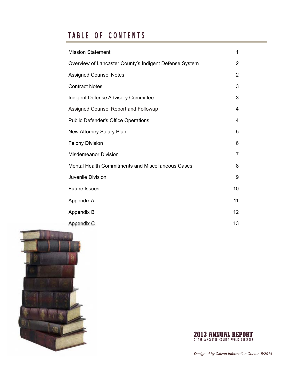# TABLE OF CONTENTS

| <b>Mission Statement</b>                                 | 1              |
|----------------------------------------------------------|----------------|
| Overview of Lancaster County's Indigent Defense System   | $\overline{2}$ |
| <b>Assigned Counsel Notes</b>                            | $\overline{2}$ |
| <b>Contract Notes</b>                                    | 3              |
| Indigent Defense Advisory Committee                      | 3              |
| Assigned Counsel Report and Followup                     | 4              |
| <b>Public Defender's Office Operations</b>               | 4              |
| New Attorney Salary Plan                                 | 5              |
| <b>Felony Division</b>                                   | 6              |
| <b>Misdemeanor Division</b>                              | 7              |
| <b>Mental Health Commitments and Miscellaneous Cases</b> | 8              |
| Juvenile Division                                        | 9              |
| <b>Future Issues</b>                                     | 10             |
| Appendix A                                               | 11             |
| Appendix B                                               | 12             |
| <b>Appendix C</b>                                        | 13             |



**2013 ANNUAL REPORT**<br>Of the lancaster county public defender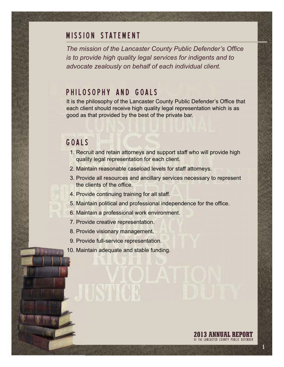#### **MISSION STATEMENT**

*The mission of the Lancaster County Public Defender's Office is to provide high quality legal services for indigents and to advocate zealously on behalf of each individual client.*

#### PHILOSOPHY AND GOALS

It is the philosophy of the Lancaster County Public Defender's Office that each client should receive high quality legal representation which is as good as that provided by the best of the private bar.

## G O A L S

- 1. Recruit and retain attorneys and support staff who will provide high quality legal representation for each client.
- 2. Maintain reasonable caseload levels for staff attorneys.
- 3. Provide all resources and ancillary services necessary to represent the clients of the office.

**2013 ANNUAL REPORT**<br>Of the lancaster county public defender

**1**

- 4. Provide continuing training for all staff.
- 5. Maintain political and professional independence for the office.
- 6. Maintain a professional work environment.
- 7. Provide creative representation.
- 8. Provide visionary management.
- 9. Provide full-service representation.
- 10. Maintain adequate and stable funding.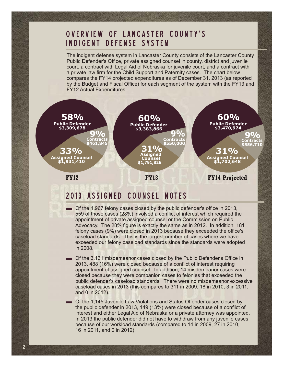## OVERVIEW OF LANCASTER COUNTY'S INDIGENT DEFENSE SYSTEM

The indigent defense system in Lancaster County consists of the Lancaster County Public Defender's Office, private assigned counsel in county, district and juvenile court, a contract with Legal Aid of Nebraska for juvenile court, and a contract with a private law firm for the Child Support and Paternity cases. The chart below compares the FY14 projected expenditures as of December 31, 2013 (as reported by the Budget and Fiscal Office) for each segment of the system with the FY13 and FY12 Actual Expenditures.



## 2013 ASSIGNED COUNSEL NOTES

**2**

- Of the 1,967 felony cases closed by the public defender's office in 2013, 559 of those cases (28%) involved a conflict of interest which required the appointment of private assigned counsel or the Commission on Public Advocacy. The 28% figure is exactly the same as in 2012. In addition, 181 felony cases (9%) were closed in 2013 because they exceeded the office's caseload standards. This is the largest number of cases where we have exceeded our felony caseload standards since the standards were adopted in 2008.
- Of the 3,131 misdemeanor cases closed by the Public Defender's Office in 2013, 488 (16%) were closed because of a conflict of interest requiring appointment of assigned counsel. In addition, 14 misdemeanor cases were closed because they were companion cases to felonies that exceeded the public defender's caseload standards. There were no misdemeanor excessive caseload cases in 2013 (this compares to 311 in 2009, 18 in 2010, 3 in 2011, and 0 in 2012).
- Of the 1,145 Juvenile Law Violations and Status Offender cases closed by the public defender in 2013, 149 (13%) were closed because of a conflict of interest and either Legal Aid of Nebraska or a private attorney was appointed. In 2013 the public defender did not have to withdraw from any juvenile cases because of our workload standards (compared to 14 in 2009, 27 in 2010, 16 in 2011, and 0 in 2012).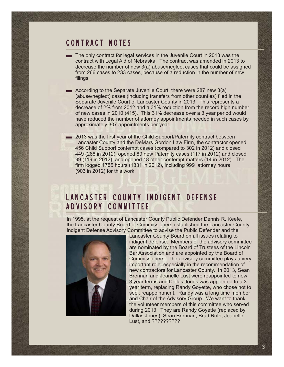#### CONTRACT NOTES

- The only contract for legal services in the Juvenile Court in 2013 was the contract with Legal Aid of Nebraska. The contract was amended in 2013 to decrease the number of new 3(a) abuse/neglect cases that could be assigned from 266 cases to 233 cases, because of a reduction in the number of new filings.
- According to the Separate Juvenile Court, there were 287 new 3(a) (abuse/neglect) cases (including transfers from other counties) filed in the Separate Juvenile Court of Lancaster County in 2013. This represents a decrease of 2% from 2012 and a 31% reduction from the record high number of new cases in 2010 (415). This 31% decrease over a 3 year period would have reduced the number of attorney appointments needed in such cases by approximately 307 appointments per year.
- 2013 was the first year of the Child Support/Paternity contract between Lancaster County and the DeMars Gordon Law Firm, the contractor opened 456 Child Support contempt cases (compared to 302 in 2012) and closed 449 (288 in 2012), opened 89 new Paternity cases (117 in 2012) and closed 99 (119 in 2012), and opened 18 other contempt matters (14 in 2012). The firm logged 1755 hours (1331 in 2012), including 999 attorney hours (903 in 2012) for this work.

## LANCASTER COUNTY INDIGENT DEFENSE ADVISORY COMMITTEE

In 1995, at the request of Lancaster County Public Defender Dennis R. Keefe, the Lancaster County Board of Commissioners established the Lancaster County Indigent Defense Advisory Committee to advise the Public Defender and the



Lancaster County Board on all issues relating to indigent defense. Members of the advisory committee are nominated by the Board of Trustees of the Lincoln Bar Association and are appointed by the Board of Commissioners. The advisory committee plays a very important role, especially in the recommendation of new contractors for Lancaster County. In 2013, Sean Brennan and Jeanelle Lust were reappointed to new 3 year terms and Dallas Jones was appointed to a 3 year term, replacing Randy Goyette, who chose not to seek reappointment. Randy was a long time member and Chair of the Advisory Group. We want to thank the volunteer members of this committee who served during 2013. They are Randy Goyette (replaced by Dallas Jones), Sean Brennan, Brad Roth, Jeanelle Lust, and ??????????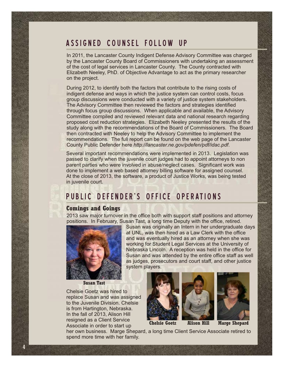## ASSIGNED COUNSEL FOLLOW UP

In 2011, the Lancaster County Indigent Defense Advisory Committee was charged by the Lancaster County Board of Commissioners with undertaking an assessment of the cost of legal services in Lancaster County. The County contracted with Elizabeth Neeley, PhD. of Objective Advantage to act as the primary researcher on the project.

During 2012, to identify both the factors that contribute to the rising costs of indigent defense and ways in which the justice system can control costs, focus group discussions were conducted with a variety of justice system stakeholders. The Advisory Committee then reviewed the factors and strategies identified through focus group discussions. When applicable and available, the Advisory Committee compiled and reviewed relevant data and national research regarding proposed cost reduction strategies. Elizabeth Neeley presented the results of the study along with the recommendations of the Board of Commissioners. The Board then contracted with Neeley to help the Advisory Committee to implement the recommendations. The full report can be found on the web page of the Lancaster County Public Defender here *http://lancaster.ne.gov/pdefen/pdf/idac.pdf*.

Several important recommendations were implemented in 2013. Legislation was passed to clarify when the juvenile court judges had to appoint attorneys to non parent parties who were involved in abuse/neglect cases. Significant work was done to implement a web based attorney billing software for assigned counsel. At the close of 2013, the software, a product of Justice Works, was being tested in juvenile court.

### PUBLIC DEFENDER'S OFFICE OPERATIONS

system players.

#### **Comings and Goings**

2013 saw major turnover in the office both with support staff positions and attorney positions. In February, Susan Tast, a long time Deputy with the office, retired. Susan was originally an Intern in her undergraduate days



**Susan Tast**

Chelsie Goetz was hired to replace Susan and was assigned to the Juvenile Division. Chelsie is from Hartington, Nebraska. In the fall of 2013, Alison Hill resigned as a Client Service Associate in order to start up





at UNL, was then hired as a Law Clerk with the office and was eventually hired as an attorney when she was working for Student Legal Services at the University of Nebraska Lincoln. A reception was held in the office for Susan and was attended by the entire office staff as well as judges, prosecutors and court staff, and other justice



her own business. Marge Shepard, a long time Client Service Associate retired to spend more time with her family.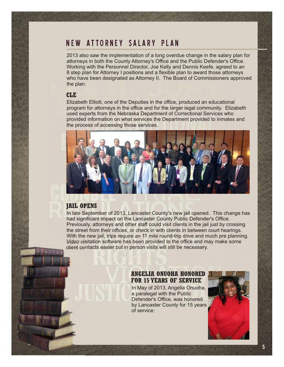## NEW ATTORNEY SALARY PLAN

2013 also saw the implementation of a long overdue change in the salary plan for attorneys in both the County Attorney's Office and the Public Defender's Office. Working with the Personnel Director, Joe Kelly and Dennis Keefe, agreed to an 8 step plan for Attorney I positions and a flexible plan to award those attorneys who have been designated as Attorney II. The Board of Commissioners approved the plan.

#### **CLE**

Elizabeth Elliott, one of the Deputies in the office, produced an educational program for attorneys in the office and for the larger legal community. Elizabeth used experts from the Nebraska Department of Correctional Services who provided information on what services the Department provided to inmates and the process of accessing those services.



#### **JAIL OPENS**

In late September of 2013, Lancaster County's new jail opened. This change has had significant impact on the Lancaster County Public Defender's Office. Previously, attorneys and other staff could visit clients in the jail just by crossing the street from their offices, or check in with clients in between court hearings. With the new jail, trips require an 11 mile round-trip drive and much pre planning. Video visitation software has been provided to the office and may make some client contacts easier but in person visits will still be necessary.

#### **ANGELIA ONUOHA HONORED FOR 15 YEARS OF SERVICE**

In May of 2013, Angelia Onuoha, a paralegal with the Public Defender's Office, was honored by Lancaster County for 15 years of service:

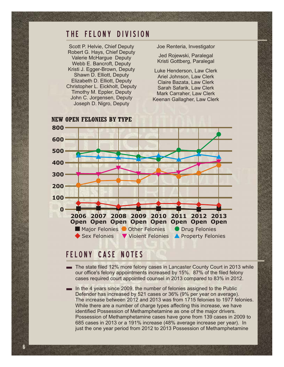#### THE FELONY DIVISION

Scott P. Helvie, Chief Deputy Robert G. Hays, Chief Deputy Valerie McHargue Deputy Webb E. Bancroft, Deputy Kristi J. Egger-Brown, Deputy Shawn D. Elliott, Deputy Elizabeth D. Elliott, Deputy Christopher L. Eickholt, Deputy Timothy M. Eppler, Deputy John C. Jorgensen, Deputy Joseph D. Nigro, Deputy

Joe Renteria, Investigator

Jed Rojewski, Paralegal Kristi Gottberg, Paralegal

Luke Henderson, Law Clerk Ariel Johnson, Law Clerk Claire Bazata, Law Clerk Sarah Safarik, Law Clerk Mark Carraher, Law Clerk Keenan Gallagher, Law Clerk



## FELONY CASE NOTES

- The state filed 12% more felony cases in Lancaster County Court in 2013 while our office's felony appointments increased by 15%. 87% of the filed felony cases required court appointed counsel in 2013 compared to 83% in 2012.
- In the 4 years since 2009, the number of felonies assigned to the Public Defender has increased by 521 cases or 36% (9% per year on average). The increase between 2012 and 2013 was from 1715 felonies to 1977 felonies. While there are a number of charge types affecting this increase, we have identified Possession of Methamphetamine as one of the major drivers. Possession of Methamphetamine cases have gone from 139 cases in 2009 to 685 cases in 2013 or a 191% increase (48% average increase per year). In just the one year period from 2012 to 2013 Possession of Methamphetamine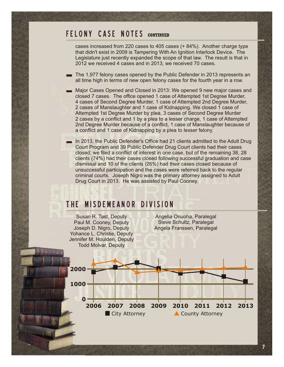#### F E L O N Y C A S E N O T E S **CONTINUED**

cases increased from 220 cases to 405 cases (+ 84%). Another charge type that didn't exist in 2009 is Tampering With An Ignition Interlock Device. The Legislature just recently expanded the scope of that law. The result is that in 2012 we received 4 cases and in 2013, we received 70 cases.

The 1,977 felony cases opened by the Public Defender in 2013 represents an  $\overline{\phantom{a}}$ all time high in terms of new open felony cases for the fourth year in a row.

Major Cases Opened and Closed in 2013: We opened 9 new major cases and closed 7 cases. The office opened 1 case of Attempted 1st Degree Murder, 4 cases of Second Degree Murder, 1 case of Attempted 2nd Degree Murder, 2 cases of Manslaughter and 1 case of Kidnapping. We closed 1 case of Attempted 1st Degree Murder by plea, 3 cases of Second Degree Murder 2 cases by a conflict and 1 by a plea to a lesser charge, 1 case of Attempted 2nd Degree Murder because of a conflict, 1 case of Manslaughter because of a conflict and 1 case of Kidnapping by a plea to lesser felony.

In 2013, the Public Defender's Office had 21 clients admitted to the Adult Drug Court Program and 39 Public Defender Drug Court clients had their cases closed; we filed a conflict of interest in one case, but of the remaining 38, 28 clients (74%) had their cases closed following successful graduation and case dismissal and 10 of the clients (26%) had their cases closed because of unsuccessful participation and the cases were referred back to the regular criminal courts. Joseph Nigro was the primary attorney assigned to Adult Drug Court in 2013. He was assisted by Paul Cooney.

### THE MISDEMEANOR DIVISION



**7**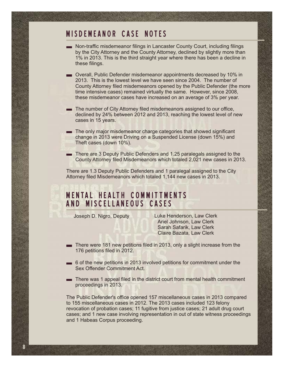#### MISDEMEANOR CASE NOTES

- Non-traffic misdemeanor filings in Lancaster County Court, including filings by the City Attorney and the County Attorney, declined by slightly more than 1% in 2013. This is the third straight year where there has been a decline in these filings.
- Overall, Public Defender misdemeanor appointments decreased by 10% in 2013. This is the lowest level we have seen since 2004. The number of County Attorney filed misdemeanors opened by the Public Defender (the more time intensive cases) remained virtually the same. However, since 2008, these misdemeanor cases have increased on an average of 3% per year.
- The number of City Attorney filed misdemeanors assigned to our office, declined by 24% between 2012 and 2013, reaching the lowest level of new cases in 15 years.
- The only major misdemeanor charge categories that showed significant change in 2013 were Driving on a Suspended License (down 15%) and Theft cases (down 10%).
- There are 3 Deputy Public Defenders and 1.25 paralegals assigned to the County Attorney filed Misdemeanors which totaled 2,021 new cases in 2013.

There are 1.3 Deputy Public Defenders and 1 paralegal assigned to the City Attorney filed Misdemeanors which totaled 1,144 new cases in 2013.

### MENTAL HEALTH COMMITTMENTS AND MISCELLANEOUS CASES

**8**

Joseph D. Nigro, Deputy Luke Henderson, Law Clerk Ariel Johnson, Law Clerk Sarah Safarik, Law Clerk Claire Bazata, Law Clerk

- There were 181 new petitions filed in 2013, only a slight increase from the 176 petitions filed in 2012.
- 6 of the new petitions in 2013 involved petitions for commitment under the Sex Offender Commitment Act.
- There was 1 appeal filed in the district court from mental health commitment proceedings in 2013.

The Public Defender's office opened 157 miscellaneous cases in 2013 compared to 155 miscellaneous cases in 2012. The 2013 cases included 123 felony revocation of probation cases; 11 fugitive from justice cases; 21 adult drug court cases; and 1 new case involving representation in out of state witness proceedings and 1 Habeas Corpus proceeding.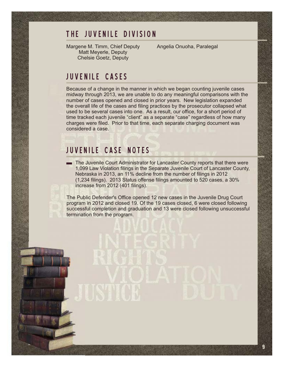### THE JUVENILE DIVISION

Margene M. Timm, Chief Deputy Matt Meyerle, Deputy Chelsie Goetz, Deputy

Angelia Onuoha, Paralegal

#### JUVENILE CASES

Because of a change in the manner in which we began counting juvenile cases midway through 2013, we are unable to do any meaningful comparisons with the number of cases opened and closed in prior years. New legislation expanded the overall life of the cases and filing practices by the prosecutor collapsed what used to be several cases into one. As a result, our office, for a short period of time tracked each juvenile "client" as a separate "case" regardless of how many charges were filed. Prior to that time, each separate charging document was considered a case.

## JUVENILE CASE NOTES

The Juvenile Court Administrator for Lancaster County reports that there were 1,099 Law Violation filings in the Separate Juvenile Court of Lancaster County, Nebraska in 2013, an 11% decline from the number of filings in 2012 (1,234 filings). 2013 Status offense filings amounted to 520 cases, a 30% increase from 2012 (401 filings).

The Public Defender's Office opened 12 new cases in the Juvenile Drug Court program in 2012 and closed 19. Of the 19 cases closed, 6 were closed following successful completion and graduation and 13 were closed following unsuccessful termination from the program.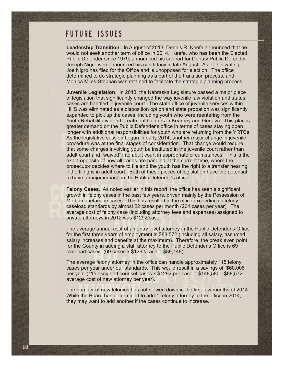### FUTURE ISSUES

**Leadership Transition.** In August of 2013, Dennis R. Keefe announced that he would not seek another term of office in 2014. Keefe, who has been the Elected Public Defender since 1979, announced his support for Deputy Public Defender Joseph Nigro who announced his candidacy in late August. As of this writing, Joe Nigro has filed for the Office and is unopposed for election. The office determined to do strategic planning as a part of the transition process, and Monica Miles-Stephan was retained to facilitate the strategic planning process.

**Juvenile Legislation.** In 2013, the Nebraska Legislature passed a major piece of legislation that significantly changed the way juvenile law violation and status cases are handled in juvenile court. The state office of juvenile services within HHS was eliminated as a disposition option and state probation was significantly expanded to pick up the cases, including youth who were reentering from the Youth Rehabilitative and Treatment Centers in Kearney and Geneva. This places greater demand on the Public Defender's office in terms of cases staying open longer with additional responsibilities for youth who are returning from the YRTCs. As the legislative session began in early 2014, another major change in juvenile procedure was at the final stages of consideration. That change would require that some charges involving youth be instituted in the juvenile court rather than adult court and "waived" into adult court in appropriate circumstances. This is the exact opposite of how all cases are handled at the current time, where the prosecutor decides where to file and the youth has the right to a transfer hearing if the filing is in adult court. Both of these pieces of legislation have the potential to have a major impact on the Public Defender's office.

**Felony Cases.** As noted earlier in this report, the office has seen a significant growth in felony cases in the past few years, driven mainly by the Possession of Methamphetamine cases. This has resulted in the office exceeding its felony caseload standards by almost 22 cases per month (264 cases per year). The average cost of felony case (including attorney fees and expenses) assigned to private attorneys in 2012 was \$1292/case.

The average annual cost of an entry level attorney in the Public Defender's Office for the first three years of employment is \$88,572 (including all salary, assumed salary increases and benefits at the maximum). Therefore, the break even point for the County in adding a staff attorney to the Public Defender's Office is 69 overload cases. (69 cases x \$1292/case = \$89,148).

The average felony attorney in the office can handle approximately 115 felony cases per year under our standards. This would result in a savings of \$60,008 per year (115 assigned counsel cases x \$1292 per case = \$148,580 - \$88,572 average cost of new attorney per year).

The number of new felonies has not slowed down in the first few months of 2014. While the Board has determined to add 1 felony attorney to the office in 2014, they may want to add another if the cases continue to increase.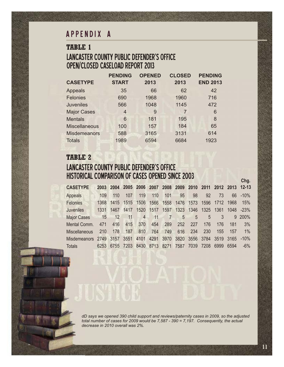### APPENDIX A

### LANCASTER COUNTY PUBLIC DEFENDER'S OFFICE OPEN/CLOSED CASELOAD REPORT 2013 **TABLE 1**

|                      | <b>PENDING</b> | <b>OPENED</b> | <b>CLOSED</b> | <b>PENDING</b>  |
|----------------------|----------------|---------------|---------------|-----------------|
| <b>CASETYPE</b>      | <b>START</b>   | 2013          | 2013          | <b>END 2013</b> |
| Appeals              | 35             | 66            | 62            | 42              |
| Felonies             | 690            | 1968          | 1960          | 716             |
| <b>Juveniles</b>     | 566            | 1048          | 1145          | 472             |
| <b>Major Cases</b>   | 4              | 9             | 7             | 6               |
| <b>Mentals</b>       | 6              | 181           | 195           | 8               |
| <b>Miscellaneous</b> | 100            | 157           | 184           | 65              |
| <b>Misdemeanors</b>  | 588            | 3165          | 3131          | 614             |
| <b>Totals</b>        | 1989           | 6594          | 6684          | 1923            |

### LANCASTER COUNTY PUBLIC DEFENDER'S OFFICE HISTORICAL COMPARISON OF CASES OPENED SINCE 2003 **TABLE 2**

| <b>CASETYPE</b>        |      |      | 2003 2004 2005 2006 2007 2008 2009 2010 2011 |                                                                                  |           |                |      |                               |      |                     |      | 2012 2013 12-13 |
|------------------------|------|------|----------------------------------------------|----------------------------------------------------------------------------------|-----------|----------------|------|-------------------------------|------|---------------------|------|-----------------|
| Appeals                | 109  | 110  | 107                                          | 119                                                                              | 110       | 101            | 95   | 98                            | 92   | 73                  | 66   | $-10%$          |
| Felonies               | 1368 | 1415 | 1515                                         | 1506                                                                             |           | 1566 1558      |      | 1476 1573                     |      | 1596 1712           | 1968 | 15%             |
| Juveniles              | 1331 | 1467 | 1417                                         | 1520                                                                             | 1517      | 1597           |      |                               |      | 1323 1346 1325 1361 | 1048 | $-23%$          |
| <b>Major Cases</b>     | 15   | 12   | 11                                           | $\begin{array}{ c c c c c }\n\hline\n\text{4} & \text{4} \\ \hline\n\end{array}$ | 11        | $\overline{7}$ |      | $\overline{5}$<br>$5^{\circ}$ | 5    | 3                   |      | 9 200%          |
| Mental Comm.           | 471  | 416  | 415                                          | 370                                                                              | 454       | 289            | 252  | 227                           | 176  | 176                 | 181  | 3%              |
| <b>Miscellaneous</b>   | 210  | 178  | 187                                          | 810                                                                              | 764       | 749            | 616  | 234                           | 230  | 155                 | 157  | $1\%$           |
| Misdemeanors 2749 3157 |      |      | 3551 4101                                    |                                                                                  | 4291      | 3970           | 3820 |                               |      | 3556 3784 3519 3165 |      | $-10%$          |
| <b>Totals</b>          | 6253 | 6755 | 7203                                         |                                                                                  | 8430 8713 | 8271           | 7587 | 7039                          | 7208 | 6999                | 6594 | $-6\%$          |

*dD says we opened 390 child support and reviews/paternity cases in 2009, so the adjusted total number of cases for 2009 would be 7,587 - 390 = 7,197. Consequently, the actual decrease in 2010 overall was 2%.*

**Chg.**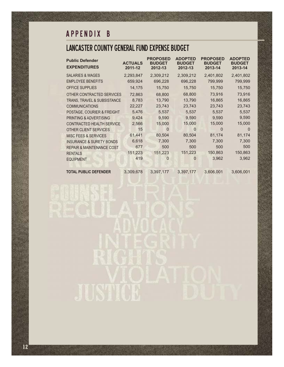# A P P E N D I X B

# LANCASTER COUNTY GENERAL FUND EXPENSE BUDGET

| <b>Public Defender</b><br><b>EXPENDITURES</b> | <b>ACTUALS</b><br>2011-12 | <b>PROPOSED</b><br><b>BUDGET</b><br>2012-13 | <b>ADOPTED</b><br><b>BUDGET</b><br>2012-13 | <b>PROPOSED</b><br><b>BUDGET</b><br>2013-14 | <b>ADOPTED</b><br><b>BUDGET</b><br>2013-14 |
|-----------------------------------------------|---------------------------|---------------------------------------------|--------------------------------------------|---------------------------------------------|--------------------------------------------|
| <b>SALARIES &amp; WAGES</b>                   | 2,293,847                 | 2,309,212                                   | 2,309,212                                  | 2,401,802                                   | 2,401,802                                  |
| <b>EMPLOYEE BENEFITS</b>                      | 659,924                   | 696,228                                     | 696,228                                    | 799,999                                     | 799,999                                    |
| <b>OFFICE SUPPLIES</b>                        | 14,175                    | 15,750                                      | 15,750                                     | 15,750                                      | 15,750                                     |
| OTHER CONTRACTED SERVICES                     | 72,863                    | 68,800                                      | 68,800                                     | 73,916                                      | 73,916                                     |
| TRANS, TRAVEL & SUBSISTANCE                   | 8,783                     | 13,790                                      | 13,790                                     | 16,865                                      | 16,865                                     |
| <b>COMMUNICATIONS</b>                         | 22,227                    | 23,743                                      | 23,743                                     | 23,743                                      | 23,743                                     |
| POSTAGE, COURIER & FREIGHT                    | 5,476                     | 5,537                                       | 5,537                                      | 5,537                                       | 5,537                                      |
| PRINTING & ADVERTISING                        | 9,424                     | 9,590                                       | 9,590                                      | 9,590                                       | 9,590                                      |
| <b>CONTRACTED HEALTH SERVICE</b>              | 2,566                     | 15,000                                      | 15,000                                     | 15,000                                      | 15,000                                     |
| OTHER CLIENT SERVICES                         | 15                        | $\Omega$                                    | $\Omega$                                   | $\Omega$                                    | $\Omega$                                   |
| <b>MISC FEES &amp; SERVICES</b>               | 61,441                    | 80,504                                      | 80,504                                     | 81,174                                      | 81,174                                     |
| <b>INSURANCE &amp; SURETY BONDS</b>           | 6,618                     | 7,300                                       | 7,300                                      | 7,300                                       | 7,300                                      |
| <b>REPAIR &amp; MAINTENANCE COST</b>          | 677                       | 500                                         | 500                                        | 500                                         | 500                                        |
| <b>RENTALS</b>                                | 151,223                   | 151,223                                     | 151,223                                    | 150,863                                     | 150,863                                    |
| <b>EQUIPMENT</b>                              | 419                       | 0                                           | $\Omega$                                   | 3,962                                       | 3,962                                      |
| <b>TOTAL PUBLIC DEFENDER</b>                  | 3,309,678                 | 3,397,177                                   | 3.397.177                                  | 3,606,001                                   | 3,606,001                                  |

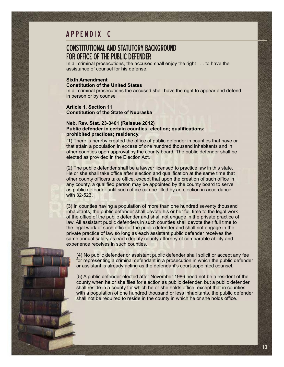## A P P E N D I X C

#### CONSTITUTIONAL AND STATUTORY BACKGROUND FOR OFFICE OF THE PUBLIC DEFENDER

In all criminal prosecutions, the accused shall enjoy the right . . . to have the assistance of counsel for his defense.

#### **Sixth Amendment Constitution of the United States**

In all criminal prosecutions the accused shall have the right to appear and defend in person or by counsel

#### **Article 1, Section 11 Constitution of the State of Nebraska**

#### **Neb. Rev. Stat. 23-3401 (Reissue 2012) Public defender in certain counties; election; qualifications; prohibited practices; residency.**

(1) There is hereby created the office of public defender in counties that have or that attain a population in excess of one hundred thousand inhabitants and in other counties upon approval by the county board. The public defender shall be elected as provided in the Election Act.

(2) The public defender shall be a lawyer licensed to practice law in this state. He or she shall take office after election and qualification at the same time that other county officers take office, except that upon the creation of such office in any county, a qualified person may be appointed by the county board to serve as public defender until such office can be filled by an election in accordance with 32-523.

(3) In counties having a population of more than one hundred seventy thousand inhabitants, the public defender shall devote his or her full time to the legal work of the office of the public defender and shall not engage in the private practice of law. All assistant public defenders in such counties shall devote their full time to the legal work of such office of the public defender and shall not engage in the private practice of law so long as each assistant public defender receives the same annual salary as each deputy county attorney of comparable ability and experience receives in such counties.

(4) No public defender or assistant public defender shall solicit or accept any fee for representing a criminal defendant in a prosecution in which the public defender or assistant is already acting as the defendant's court-appointed counsel.

(5) A public defender elected after November 1986 need not be a resident of the county when he or she files for election as public defender, but a public defender shall reside in a county for which he or she holds office, except that in counties with a population of one hundred thousand or less inhabitants, the public defender shall not be required to reside in the county in which he or she holds office.